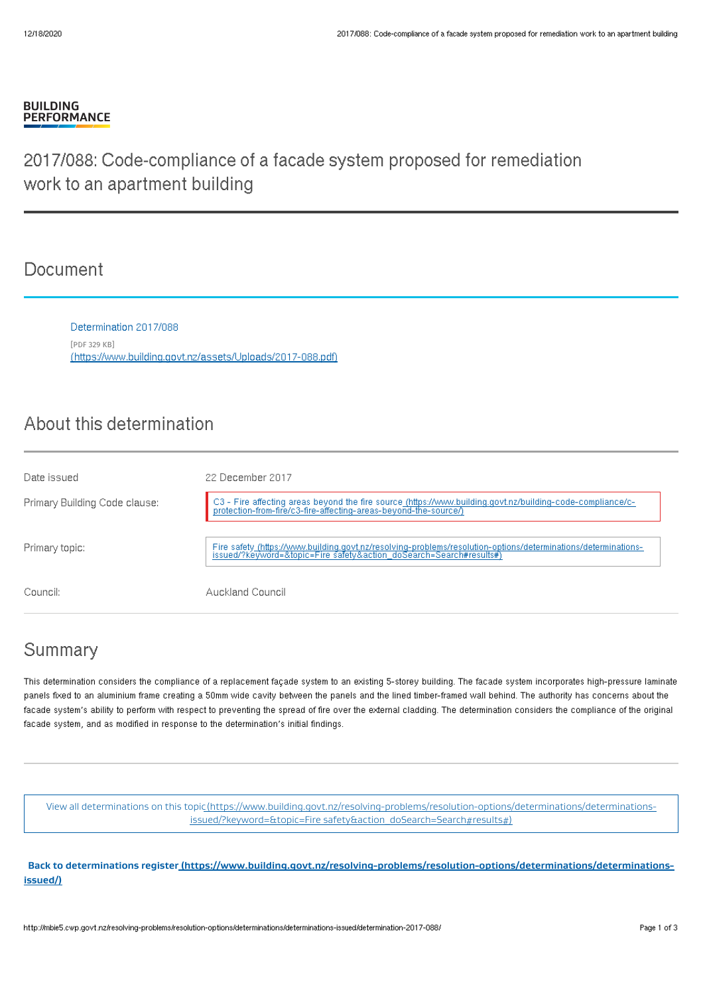#### **BUILDING PERFORMANCE**

# 2017/088: Code-compliance of a facade system proposed for remediation work to an apartment building

### **Document**

Determination 2017/088 [PDF 329 KB] [\(https://www.building.govt.nz/assets/Uploads/2017-088.pdf\)](http://mbie5.cwp.govt.nz/assets/Uploads/2017-088.pdf)

## About this determination

| Date issued                   | 22 December 2017                                                                                                                                                                      |
|-------------------------------|---------------------------------------------------------------------------------------------------------------------------------------------------------------------------------------|
| Primary Building Code clause: | C3 - Fire affecting areas beyond the fire source (https://www.building.govt.nz/building-code-compliance/c-<br>protection-from-fire/c3-fire-affecting-areas-beyond-the-source/)        |
| Primary topic:                | Fire safety_(https://www.building.govt.nz/resolving-problems/resolution-options/determinations/determinations-<br>issued/?keyword=&topic=Fire safety&action_doSearch=Search#results#) |
| Council:                      | Auckland Council                                                                                                                                                                      |

## Summary

This determination considers the compliance of a replacement façade system to an existing 5-storey building. The facade system incorporates high-pressure laminate panels fixed to an aluminium frame creating a 50mm wide cavity between the panels and the lined timber-framed wall behind. The authority has concerns about the facade system's ability to perform with respect to preventing the spread of fire over the external cladding. The determination considers the compliance of the original facade system, and as modified in response to the determination's initial findings.

View all determinations on this [topic\(https://www.building.govt.nz/resolving-problems/resolution-options/determinations/determinations](http://mbie5.cwp.govt.nz/resolving-problems/resolution-options/determinations/determinations-issued/?keyword=&topic=Fire%20safety&action_doSearch=Search#results#)issued/?keyword=&topic=Fire safety&action\_doSearch=Search#results#)

**Back to determinations register [\(https://www.building.govt.nz/resolving-problems/resolution-options/determinations/determinations](http://mbie5.cwp.govt.nz/resolving-problems/resolution-options/determinations/determinations-issued/)issued/)**